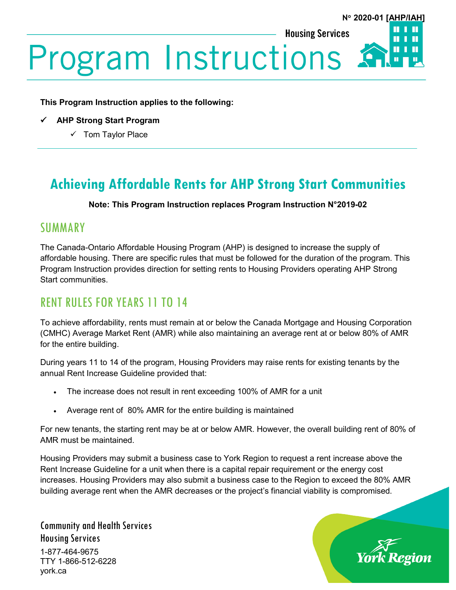**Housing Services** 



# **Program Instructions**

**This Program Instruction applies to the following:**

- **AHP Strong Start Program**
	- $\checkmark$  Tom Taylor Place

# **Achieving Affordable Rents for AHP Strong Start Communities**

#### **Note: This Program Instruction replaces Program Instruction N°2019-02**

## **SUMMARY**

The Canada-Ontario Affordable Housing Program (AHP) is designed to increase the supply of affordable housing. There are specific rules that must be followed for the duration of the program. This Program Instruction provides direction for setting rents to Housing Providers operating AHP Strong Start communities.

## RENT RULES FOR YEARS 11 TO 14

To achieve affordability, rents must remain at or below the Canada Mortgage and Housing Corporation (CMHC) Average Market Rent (AMR) while also maintaining an average rent at or below 80% of AMR for the entire building.

During years 11 to 14 of the program, Housing Providers may raise rents for existing tenants by the annual Rent Increase Guideline provided that:

- The increase does not result in rent exceeding 100% of AMR for a unit
- Average rent of 80% AMR for the entire building is maintained

For new tenants, the starting rent may be at or below AMR. However, the overall building rent of 80% of AMR must be maintained.

Housing Providers may submit a business case to York Region to request a rent increase above the Rent Increase Guideline for a unit when there is a capital repair requirement or the energy cost increases. Housing Providers may also submit a business case to the Region to exceed the 80% AMR building average rent when the AMR decreases or the project's financial viability is compromised.

Community and Health Services Housing Services 1-877-464-9675 TTY 1-866-512-6228 york.ca

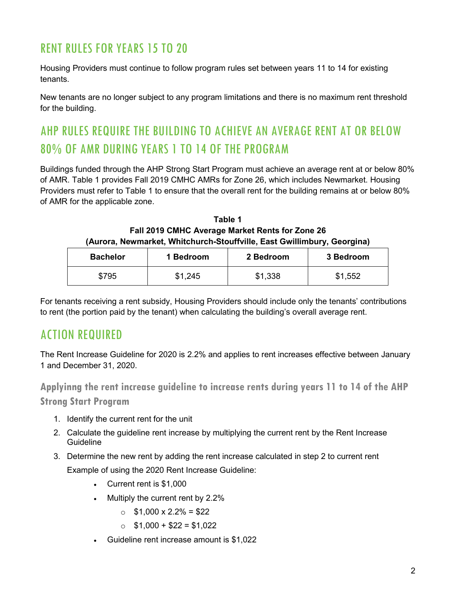# RENT RULES FOR YEARS 15 TO 20

Housing Providers must continue to follow program rules set between years 11 to 14 for existing tenants.

New tenants are no longer subject to any program limitations and there is no maximum rent threshold for the building.

# AHP RULES REQUIRE THE BUILDING TO ACHIEVE AN AVERAGE RENT AT OR BELOW 80% OF AMR DURING YEARS 1 TO 14 OF THE PROGRAM

Buildings funded through the AHP Strong Start Program must achieve an average rent at or below 80% of AMR. Table 1 provides Fall 2019 CMHC AMRs for Zone 26, which includes Newmarket. Housing Providers must refer to Table 1 to ensure that the overall rent for the building remains at or below 80% of AMR for the applicable zone.

**Table 1 Fall 2019 CMHC Average Market Rents for Zone 26 (Aurora, Newmarket, Whitchurch-Stouffville, East Gwillimbury, Georgina)**

| <b>Bachelor</b> | 1 Bedroom | 2 Bedroom | 3 Bedroom |
|-----------------|-----------|-----------|-----------|
| \$795           | \$1,245   | \$1,338   | \$1,552   |

For tenants receiving a rent subsidy, Housing Providers should include only the tenants' contributions to rent (the portion paid by the tenant) when calculating the building's overall average rent.

## ACTION REQUIRED

The Rent Increase Guideline for 2020 is 2.2% and applies to rent increases effective between January 1 and December 31, 2020.

**Applyinng the rent increase guideline to increase rents during years 11 to 14 of the AHP** 

## **Strong Start Program**

- 1. Identify the current rent for the unit
- 2. Calculate the guideline rent increase by multiplying the current rent by the Rent Increase **Guideline**
- 3. Determine the new rent by adding the rent increase calculated in step 2 to current rent Example of using the 2020 Rent Increase Guideline:
	- Current rent is \$1,000
	- Multiply the current rent by 2.2%
		- $\circ$  \$1,000 x 2.2% = \$22
		- $\circ$  \$1,000 + \$22 = \$1,022
	- Guideline rent increase amount is \$1,022